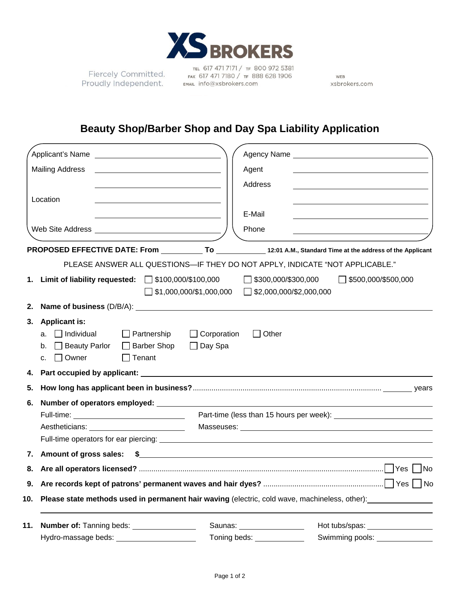

Fiercely Committed. Proudly Independent.

TEL 617 471 7171 / TF 800 972 5381 FAX 617 471 7180 / TF 888 628 1906 EMAIL info@xsbrokers.com

WEB xsbrokers.com

## **Beauty Shop/Barber Shop and Day Spa Liability Application**

|                                                                         |                                                               | Agency Name experience and the state of the state of the state of the state of the state of the state of the state of the state of the state of the state of the state of the state of the state of the state of the state of |
|-------------------------------------------------------------------------|---------------------------------------------------------------|-------------------------------------------------------------------------------------------------------------------------------------------------------------------------------------------------------------------------------|
|                                                                         |                                                               |                                                                                                                                                                                                                               |
| <b>Mailing Address</b><br><u> 1980 - Andrea Andrew Maria (h. 1980).</u> | Agent                                                         |                                                                                                                                                                                                                               |
|                                                                         | Address                                                       |                                                                                                                                                                                                                               |
| Location                                                                |                                                               |                                                                                                                                                                                                                               |
|                                                                         | E-Mail                                                        |                                                                                                                                                                                                                               |
|                                                                         | Phone                                                         |                                                                                                                                                                                                                               |
|                                                                         |                                                               |                                                                                                                                                                                                                               |
|                                                                         |                                                               | PROPOSED EFFECTIVE DATE: From To 12:01 A.M., Standard Time at the address of the Applicant                                                                                                                                    |
|                                                                         |                                                               | PLEASE ANSWER ALL QUESTIONS-IF THEY DO NOT APPLY, INDICATE "NOT APPLICABLE."                                                                                                                                                  |
| 1. Limit of liability requested: 5100,000/\$100,000                     |                                                               | $\Box$ \$300,000/\$300,000<br>$\Box$ \$500,000/\$500,000                                                                                                                                                                      |
|                                                                         | $\Box$ \$1,000,000/\$1,000,000 $\Box$ \$2,000,000/\$2,000,000 |                                                                                                                                                                                                                               |
| 2.                                                                      |                                                               |                                                                                                                                                                                                                               |
| 3. Applicant is:                                                        |                                                               |                                                                                                                                                                                                                               |
| $\Box$ Individual<br>$\Box$ Partnership<br>a.                           | $\Box$ Corporation<br>$\Box$ Other                            |                                                                                                                                                                                                                               |
| □ Barber Shop<br>□ Beauty Parlor<br>b.                                  | $\Box$ Day Spa                                                |                                                                                                                                                                                                                               |
| $\Box$ Owner<br>$\Box$ Tenant<br>C.                                     |                                                               |                                                                                                                                                                                                                               |
| 4.                                                                      |                                                               |                                                                                                                                                                                                                               |
| 5.                                                                      |                                                               |                                                                                                                                                                                                                               |
| 6.                                                                      |                                                               |                                                                                                                                                                                                                               |
| Full-time: ___________________________________                          |                                                               |                                                                                                                                                                                                                               |
|                                                                         |                                                               |                                                                                                                                                                                                                               |
|                                                                         |                                                               |                                                                                                                                                                                                                               |
|                                                                         |                                                               |                                                                                                                                                                                                                               |
|                                                                         |                                                               |                                                                                                                                                                                                                               |
|                                                                         |                                                               |                                                                                                                                                                                                                               |
|                                                                         |                                                               |                                                                                                                                                                                                                               |
| 10.                                                                     |                                                               | Please state methods used in permanent hair waving (electric, cold wave, machineless, other):                                                                                                                                 |
| Number of: Tanning beds: _________________<br>11.                       | Saunas: _________________                                     | Hot tubs/spas: _________________                                                                                                                                                                                              |
| Hydro-massage beds:                                                     | Toning beds: Toning beds:                                     | Swimming pools:                                                                                                                                                                                                               |